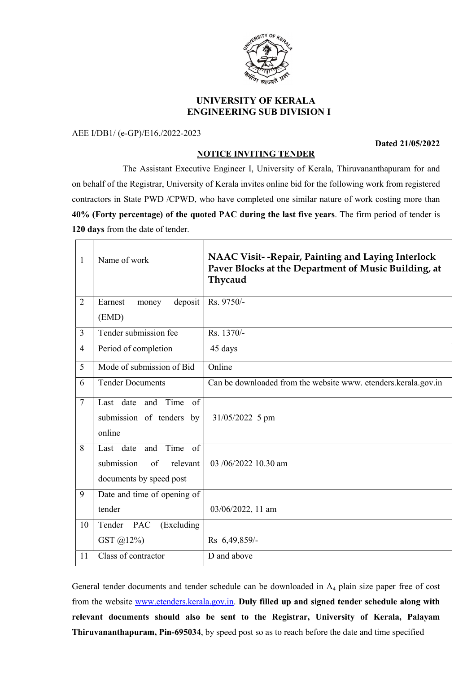

# UNIVERSITY OF KERALA ENGINEERING SUB DIVISION I

AEE I/DB1/ (e-GP)/E16./2022-2023

#### Dated 21/05/2022

## NOTICE INVITING TENDER

 The Assistant Executive Engineer I, University of Kerala, Thiruvananthapuram for and on behalf of the Registrar, University of Kerala invites online bid for the following work from registered contractors in State PWD /CPWD, who have completed one similar nature of work costing more than 40% (Forty percentage) of the quoted PAC during the last five years. The firm period of tender is 120 days from the date of tender.

| 1               | Name of work                                                                           | NAAC Visit--Repair, Painting and Laying Interlock<br>Paver Blocks at the Department of Music Building, at<br>Thycaud |
|-----------------|----------------------------------------------------------------------------------------|----------------------------------------------------------------------------------------------------------------------|
| $\overline{2}$  | Earnest<br>deposit<br>money<br>(EMD)                                                   | Rs. 9750/-                                                                                                           |
| $\overline{3}$  | Tender submission fee                                                                  | Rs. 1370/-                                                                                                           |
| $\overline{4}$  | Period of completion                                                                   | 45 days                                                                                                              |
| 5               | Mode of submission of Bid                                                              | Online                                                                                                               |
| 6               | <b>Tender Documents</b>                                                                | Can be downloaded from the website www. etenders.kerala.gov.in                                                       |
| $7\phantom{.0}$ | and Time<br>$\sigma$ f<br>Last date<br>submission of tenders by<br>online              | 31/05/2022 5 pm                                                                                                      |
| 8               | Time<br>Last date and<br>of<br>submission<br>of<br>relevant<br>documents by speed post | $03/06/2022$ 10.30 am                                                                                                |
| 9               | Date and time of opening of<br>tender                                                  | 03/06/2022, 11 am                                                                                                    |
| 10              | Tender<br>(Excluding<br><b>PAC</b><br>GST @12%)                                        | Rs 6,49,859/-                                                                                                        |
| 11              | Class of contractor                                                                    | D and above                                                                                                          |

General tender documents and tender schedule can be downloaded in A4 plain size paper free of cost from the website www.etenders.kerala.gov.in. Duly filled up and signed tender schedule along with relevant documents should also be sent to the Registrar, University of Kerala, Palayam Thiruvananthapuram, Pin-695034, by speed post so as to reach before the date and time specified